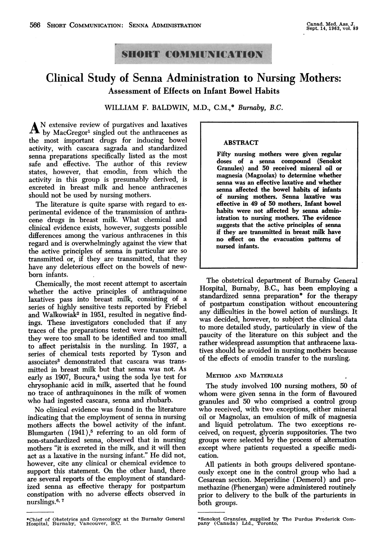## **SHORT COMMUNICATION**

## Clinical Study of Senna Administration to Nursing Mothers: **Assessment of Effects on Infant Bowel Habits**

WILLIAM F. BALDWIN, M.D., C.M.,\* Burnaby, B.C.

A<sup>N</sup> extensive review of purgatives and laxatives  $A$  by MacGregor<sup>1</sup> singled out the anthracenes as the most important drugs for inducing bowel activity, with cascara sagrada and standardized senna preparations specifically listed as the most safe and effective. The author of this review states, however, that emodin, from which the activity in this group is presumably derived, is excreted in breast milk and hence anthracenes should not be used by nursing mothers.

The literature is quite sparse with regard to experimental evidence of the transmission of anthracene drugs in breast milk. What chemical and clinical evidence exists, however, suggests possible differences among the various anthracenes in this regard and is overwhelmingly against the view that the active principles of senna in particular are so transmitted or, if they are transmitted, that they have any deleterious effect on the bowels of newborn infants.

Chemically, the most recent attempt to ascertain whether the active principles of anthraquinone laxatives pass into breast milk, consisting of a series of highly sensitive tests reported by Friebel and Walkowiak<sup>2</sup> in 1951, resulted in negative findings. These investigators concluded that if any traces of the preparations tested were transmitted, they were too small to be identified and too small to affect peristalsis in the nursling. In 1937, a series of chemical tests reported by Tyson and associates3 demonstrated that cascara was transmitted in breast milk but that senna was not. As early as 1907, Bucura,<sup>4</sup> using the soda lye test for chrysophanic acid in milk, asserted that he found no trace of anthraquinones in the milk of women who had ingested cascara, senna and rhubarb.

No clinical evidence was found in the literature indicating that the employment of senna in nursing mothers affects the bowel activity of the infant. Blumgarten  $(1941),$ <sup>5</sup> referring to an old form of non-standardized senna, observed that in nursing mothers "it is excreted in the milk, and it will then act as a laxative in the nursing infant." He did not, however, cite any clinical or chemical evidence to support this statement. On the other hand, there are several reports of the employment of standardized senna as effective therapy for postpartum constipation with no adverse effects observed in nurslings.<sup>6, 7</sup>

#### ABSTRACT

Fifty nursing mothers were given regular doses of <sup>a</sup> senna compound (Senokot Granules) and 50 received mineral oil or magnesia (Magnolax) to determine whether senna was an effective laxative and whether senna affected the bowel habits of infants of nursing mothers. Senna laxative was effective in 49 of 50 mothers. Infant bowel habits were not affected by senna administration to nursing mothers. The evidence suggests that the active principles of senna if they are transmitted in breast milk have no effect on the evacuation patterns of nursed infants.

The obstetrical department of Burnaby General Hospital, Burnaby, B.C., has been employing a standardized senna preparation\* for the therapy of postpartum constipation without encountering any difficulties in the bowel action of nurslings. It was decided, however, to subject the clinical data to more detailed study, particularly in view of the paucity of the literature on this subject and the rather widespread assumption that anthracene laxatives should be avoided in nursing mothers because of the effects of emodin transfer to the nursling.

#### METHOD AND MATERIALS

The study involved 100 nursing mothers, 50 of whom were given senna in the form of flavoured granules and 50 who comprised a control group who received, with two exceptions, either mineral oil or Magnolax, an emulsion of milk of magnesia and liquid petrolatum. The two exceptions received, on request, glycerin suppositories. The two groups were selected by the process of alternation except where patients requested a specific medication.

All patients in both groups delivered spontaneously except one in the control group who had a Cesarean section. Meperidine (Demerol) and promethazine (Phenergan) were administered routinely prior to delivery to the bulk of the parturients in both groups.

<sup>\*</sup>Chief of Obstetrics and Gynecology at the Burnaby General Hospital, Burnaby, Vancouver, B.C.

<sup>\*</sup>Senokot Granules, supplied by The Purdue Frederick Company (Canada) Ltd., Toronto.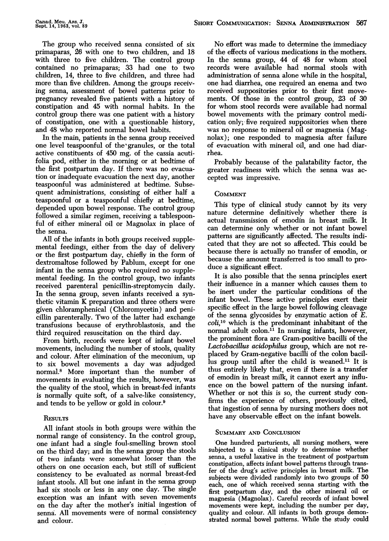The group who received senna consisted of six primaparas, 26 with one to two children, and 18 with three to five children. The control group contained no primaparas; 33 had one to two children, 14, three to five children, and three had more than five children. Among the groups receiving senna, assessment of bowel patterns prior to pregnancy revealed five patients with a history of constipation and 45 with normal habits. In the control group there was one patient with a history of constipation, one with a questionable history, and 48 who reported normal bowel habits.

In the main, patients in the senna group received one level teaspoonful of the' granules, or the total active constituents of 450 mg. of the cassia acutifolia pod, either in the morning or at bedtime of the first postpartum day. If there was no evacuation or inadequate evacuation the next day, another teaspoonful was administered at bedtime. Subsequent administrations, consisting of either half a teaspoonful or a teaspoonful chiefly at bedtime, depended upon bowel response. The control group followed a similar regimen, receiving a tablespoonful of either mineral oil or Magnolax in place of the senna.

All of the infants in both groups received supplemental feedings, either from the day of delivery or the first postpartum day, chiefly in the form of dextromaltose followed by Pablum, except for one infant in the senna group who required no supplemental feeding. In the control group, two infants received parenteral penicillin-streptomycin daily. In the senna group, seven infants received a synthetic vitamin K preparation and three others were gfven chloramphenical (Chloromycetin) and penicillin parenterally. Two of the latter had exchange transfusions because of erythroblastosis, and the third required resuscitation on the third day.

From birth, records were kept of infant bowel movements, including the number of stools, quality and colour. After elimination of the meconium, up to six bowel movements a day was adjudged normal.8 More important than the number of movements in evaluating the results, however, was the quality of the stool, which in breast-fed infants is normally quite soft, of a salve-like consistency, and tends to be yellow or gold in colour.9

### **RESULTS**

All infant stools in both groups were within the normal range of consistency. In the control group, one infant had a single foul-smelling brown stool on the third day; and in the senna group the stools of two infants were somewhat looser than the others on one occasion each, but still of sufficient consistency to be evaluated as normal breast-fed infant stools. All but one infant in the senna group had six stools or less in any one day. The single exception was an infant with seven movements on the day after the mother's initial ingestion of senna. All movements were of normal consistency and colour.

No effort was made to determine the immediacy of the effects of various medications in the mothers. In the senna group, 44 of 48 for whom stool records were available had normal stools with administration of senna alone while in the hospital, one had diarrhea, one required an enema and two received suppositories prior to their first movements. Of those in the control group, 23 of 30 for whom stool records were available had normal bowel movements with the primary control medication only; five required suppositories when there was no response to mineral oil or magnesia (Magnolax); one responded to magnesia after failure of evacuation with mineral oil, and one had diarrhea.

Probably because of the palatability factor, the greater readiness with which the senna was accepted was impressive.

### **COMMENT**

This type of clinical study cannot by its very nature determine definitively whether there is actual transmission of emodin in breast milk. It can determine only whether or not infant bowel patterns are significantly affected. The results indicated that they are not so affected. This could be because there is actually no transfer of emodin, or because the amount transferred is too small to produce a significant effect.

It is also possible that the senna principles exert their influence in a manner which causes them to be inert under the particular conditions of the infant bowel. These active principles exert their specific effect in the large bowel following cleavage of the senna glycosides by enzymatic action of  $\overline{E}$ .  $\text{coli},^{10}$  which is the predominant inhabitant of the normal adult colon. $^{11}$  In nursing infants, however, the prominent flora are Gram-positive bacilli of the Lactobacillus acidophilus group, which are not replaced by Gram-negative bacilli of the colon bacillus group until after the child is weaned.<sup>11</sup> It is thus entirely likely that, even if there is a transfer of emodin in breast milk, it cannot exert any influence on the bowel pattern of the nursing infant. Whether or not this is so, the current study confirms the experience of others, previously cited, that ingestion of senna by nursing mothers does not have any observable effect on the infant bowels.

### SUMMARY AND CONCLUSION

One hundred parturients, all nursing mothers, were subjected to a clinical study to determine whether senna, a useful laxative in the treatment of postpartum constipation, affects infant bowel patterns through transfer of the drug's active principles in breast milk. The subjects were divided randomly into two groups of 50 each, one of which received senna starting with the first postpartum day, and the other mineral oil or magnesia (Magnolax). Careful records of infant bowel movements were kept, including the number per day, quality and colour. All infants in both groups demonstrated normal bowel patterns. While the study could